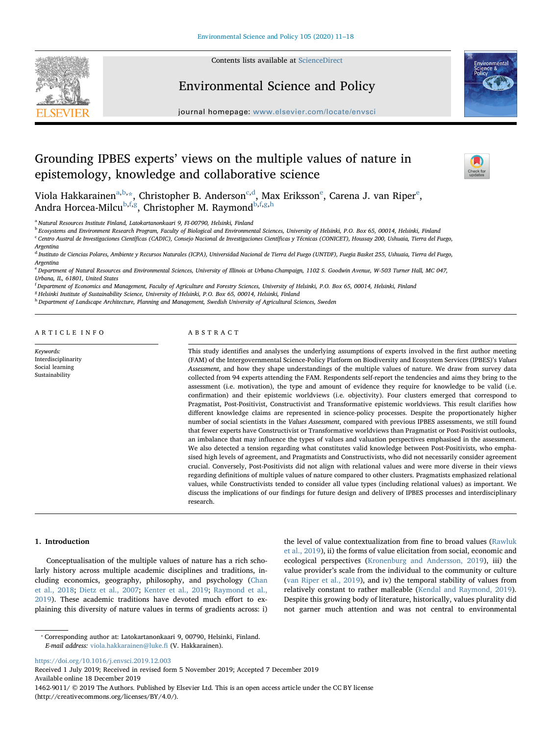

Contents lists available at [ScienceDirect](http://www.sciencedirect.com/science/journal/14629011)

## Environmental Science and Policy



journal homepage: [www.elsevier.com/locate/envsci](https://www.elsevier.com/locate/envsci)

# Grounding IPBES experts' views on the multiple values of nature in epistemology, knowledge and collaborative science



Viol[a](#page-0-0) Hakkarainen<sup>a,[b](#page-0-1),</sup>[\\*](#page-0-2), Christopher B. Anderson<sup>[c](#page-0-3)[,d](#page-0-4)</sup>, Max Eriksson<sup>[e](#page-0-5)</sup>, Carena J. van Riper<sup>e</sup>, Andra Horcea-Milcu<sup>[b](#page-0-1)[,f](#page-0-6)[,g](#page-0-7)</sup>, Christopher M. Raymond<sup>[b,](#page-0-1)[f,](#page-0-6)[g](#page-0-7)[,h](#page-0-8)</sup>

<span id="page-0-0"></span><sup>a</sup> Natural Resources Institute Finland, Latokartanonkaari 9, FI-00790, Helsinki, Finland

<span id="page-0-3"></span><span id="page-0-1"></span><sup>b</sup> Ecosystems and Environment Research Program, Faculty of Biological and Environmental Sciences, University of Helsinki, P.O. Box 65, 00014, Helsinki, Finland <sup>c</sup> Centro Austral de Investigaciones Científicas (CADIC), Consejo Nacional de Investigaciones Científicas y Técnicas (CONICET), Houssay 200, Ushuaia, Tierra del Fuego, Argentina

<span id="page-0-4"></span><sup>d</sup> Instituto de Ciencias Polares, Ambiente y Recursos Naturales (ICPA), Universidad Nacional de Tierra del Fuego (UNTDF), Fuegia Basket 255, Ushuaia, Tierra del Fuego, Argentina

<span id="page-0-5"></span><sup>e</sup> Department of Natural Resources and Environmental Sciences, University of Illinois at Urbana-Champaign, 1102 S. Goodwin Avenue, W-503 Turner Hall, MC 047, Urbana, IL, 61801, United States

<span id="page-0-6"></span>f Department of Economics and Management, Faculty of Agriculture and Forestry Sciences, University of Helsinki, P.O. Box 65, 00014, Helsinki, Finland

<span id="page-0-7"></span><sup>8</sup> Helsinki Institute of Sustainability Science, University of Helsinki, P.O. Box 65, 00014, Helsinki, Finland

<span id="page-0-8"></span>h Department of Landscape Architecture, Planning and Management, Swedish University of Agricultural Sciences, Sweden

ARTICLE INFO

Keywords: Interdisciplinarity Social learning Sustainability

## ABSTRACT

This study identifies and analyses the underlying assumptions of experts involved in the first author meeting (FAM) of the Intergovernmental Science-Policy Platform on Biodiversity and Ecosystem Services (IPBES)'s Values Assessment, and how they shape understandings of the multiple values of nature. We draw from survey data collected from 94 experts attending the FAM. Respondents self-report the tendencies and aims they bring to the assessment (i.e. motivation), the type and amount of evidence they require for knowledge to be valid (i.e. confirmation) and their epistemic worldviews (i.e. objectivity). Four clusters emerged that correspond to Pragmatist, Post-Positivist, Constructivist and Transformative epistemic worldviews. This result clarifies how different knowledge claims are represented in science-policy processes. Despite the proportionately higher number of social scientists in the Values Assessment, compared with previous IPBES assessments, we still found that fewer experts have Constructivist or Transformative worldviews than Pragmatist or Post-Positivist outlooks, an imbalance that may influence the types of values and valuation perspectives emphasised in the assessment. We also detected a tension regarding what constitutes valid knowledge between Post-Positivists, who emphasised high levels of agreement, and Pragmatists and Constructivists, who did not necessarily consider agreement crucial. Conversely, Post-Positivists did not align with relational values and were more diverse in their views regarding definitions of multiple values of nature compared to other clusters. Pragmatists emphasized relational values, while Constructivists tended to consider all value types (including relational values) as important. We discuss the implications of our findings for future design and delivery of IPBES processes and interdisciplinary research.

#### 1. Introduction

Conceptualisation of the multiple values of nature has a rich scholarly history across multiple academic disciplines and traditions, including economics, geography, philosophy, and psychology ([Chan](#page-6-0) [et al., 2018](#page-6-0); [Dietz et al., 2007;](#page-6-1) [Kenter et al., 2019;](#page-7-0) [Raymond et al.,](#page-7-1) [2019\)](#page-7-1). These academic traditions have devoted much effort to explaining this diversity of nature values in terms of gradients across: i) the level of value contextualization from fine to broad values [\(Rawluk](#page-7-2) [et al., 2019](#page-7-2)), ii) the forms of value elicitation from social, economic and ecological perspectives [\(Kronenburg and Andersson, 2019](#page-7-3)), iii) the value provider's scale from the individual to the community or culture ([van Riper et al., 2019\)](#page-7-4), and iv) the temporal stability of values from relatively constant to rather malleable ([Kendal and Raymond, 2019](#page-7-5)). Despite this growing body of literature, historically, values plurality did not garner much attention and was not central to environmental

<https://doi.org/10.1016/j.envsci.2019.12.003>

Received 1 July 2019; Received in revised form 5 November 2019; Accepted 7 December 2019 Available online 18 December 2019 1462-9011/ © 2019 The Authors. Published by Elsevier Ltd. This is an open access article under the CC BY license (http://creativecommons.org/licenses/BY/4.0/).

<span id="page-0-2"></span><sup>⁎</sup> Corresponding author at: Latokartanonkaari 9, 00790, Helsinki, Finland. E-mail address: [viola.hakkarainen@luke.](mailto:viola.hakkarainen@luke.fi)fi (V. Hakkarainen).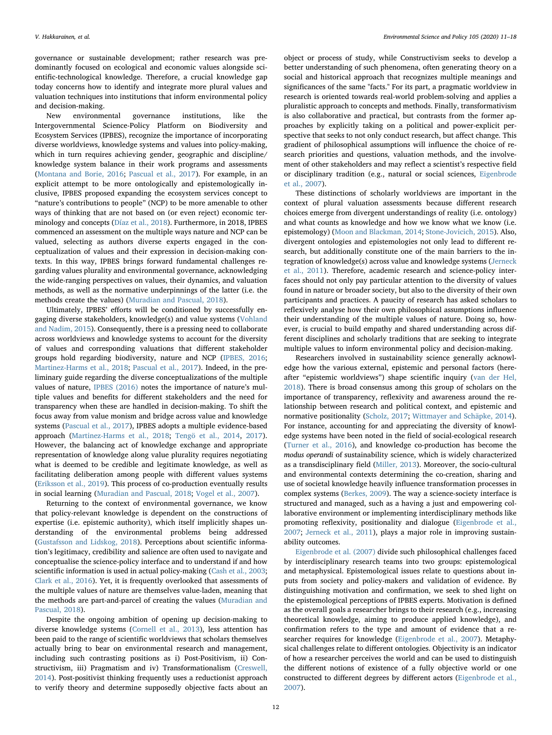governance or sustainable development; rather research was predominantly focused on ecological and economic values alongside scientific-technological knowledge. Therefore, a crucial knowledge gap today concerns how to identify and integrate more plural values and valuation techniques into institutions that inform environmental policy and decision-making.

New environmental governance institutions, like the Intergovernmental Science-Policy Platform on Biodiversity and Ecosystem Services (IPBES), recognize the importance of incorporating diverse worldviews, knowledge systems and values into policy-making, which in turn requires achieving gender, geographic and discipline/ knowledge system balance in their work programs and assessments ([Montana and Borie, 2016;](#page-7-6) [Pascual et al., 2017](#page-7-7)). For example, in an explicit attempt to be more ontologically and epistemologically inclusive, IPBES proposed expanding the ecosystem services concept to "nature's contributions to people" (NCP) to be more amenable to other ways of thinking that are not based on (or even reject) economic terminology and concepts [\(Díaz et al., 2018\)](#page-6-2). Furthermore, in 2018, IPBES commenced an assessment on the multiple ways nature and NCP can be valued, selecting as authors diverse experts engaged in the conceptualization of values and their expression in decision-making contexts. In this way, IPBES brings forward fundamental challenges regarding values plurality and environmental governance, acknowledging the wide-ranging perspectives on values, their dynamics, and valuation methods, as well as the normative underpinnings of the latter (i.e. the methods create the values) [\(Muradian and Pascual, 2018\)](#page-7-8).

Ultimately, IPBES' efforts will be conditioned by successfully engaging diverse stakeholders, knowledge(s) and value systems [\(Vohland](#page-7-9) [and Nadim, 2015](#page-7-9)). Consequently, there is a pressing need to collaborate across worldviews and knowledge systems to account for the diversity of values and corresponding valuations that different stakeholder groups hold regarding biodiversity, nature and NCP ([IPBES, 2016](#page-7-10); [Martinez-Harms et al., 2018](#page-7-11); [Pascual et al., 2017\)](#page-7-7). Indeed, in the preliminary guide regarding the diverse conceptualizations of the multiple values of nature, [IPBES \(2016\)](#page-7-10) notes the importance of nature's multiple values and benefits for different stakeholders and the need for transparency when these are handled in decision-making. To shift the focus away from value monism and bridge across value and knowledge systems [\(Pascual et al., 2017\)](#page-7-7), IPBES adopts a multiple evidence-based approach ([Martinez-Harms et al., 2018;](#page-7-11) [Tengö et al., 2014](#page-7-12), [2017](#page-7-13)). However, the balancing act of knowledge exchange and appropriate representation of knowledge along value plurality requires negotiating what is deemed to be credible and legitimate knowledge, as well as facilitating deliberation among people with different values systems ([Eriksson et al., 2019\)](#page-7-14). This process of co-production eventually results in social learning ([Muradian and Pascual, 2018;](#page-7-8) [Vogel et al., 2007\)](#page-7-15).

Returning to the context of environmental governance, we know that policy-relevant knowledge is dependent on the constructions of expertise (i.e. epistemic authority), which itself implicitly shapes understanding of the environmental problems being addressed (Gustafsson [and Lidskog, 2018](#page-7-16)). Perceptions about scientific information's legitimacy, credibility and salience are often used to navigate and conceptualise the science-policy interface and to understand if and how scientific information is used in actual policy-making [\(Cash et al., 2003](#page-6-3); [Clark et al., 2016\)](#page-6-4). Yet, it is frequently overlooked that assessments of the multiple values of nature are themselves value-laden, meaning that the methods are part-and-parcel of creating the values ([Muradian and](#page-7-8) [Pascual, 2018\)](#page-7-8).

Despite the ongoing ambition of opening up decision-making to diverse knowledge systems ([Cornell et al., 2013](#page-6-5)), less attention has been paid to the range of scientific worldviews that scholars themselves actually bring to bear on environmental research and management, including such contrasting positions as i) Post-Positivism, ii) Constructivism, iii) Pragmatism and iv) Transformationalism [\(Creswell,](#page-6-6) [2014\)](#page-6-6). Post-positivist thinking frequently uses a reductionist approach to verify theory and determine supposedly objective facts about an

object or process of study, while Constructivism seeks to develop a better understanding of such phenomena, often generating theory on a social and historical approach that recognizes multiple meanings and significances of the same "facts." For its part, a pragmatic worldview in research is oriented towards real-world problem-solving and applies a pluralistic approach to concepts and methods. Finally, transformativism is also collaborative and practical, but contrasts from the former approaches by explicitly taking on a political and power-explicit perspective that seeks to not only conduct research, but affect change. This gradient of philosophical assumptions will influence the choice of research priorities and questions, valuation methods, and the involvement of other stakeholders and may reflect a scientist's respective field or disciplinary tradition (e.g., natural or social sciences, [Eigenbrode](#page-7-17) [et al., 2007](#page-7-17)).

These distinctions of scholarly worldviews are important in the context of plural valuation assessments because different research choices emerge from divergent understandings of reality (i.e. ontology) and what counts as knowledge and how we know what we know (i.e. epistemology) [\(Moon and Blackman, 2014](#page-7-18); [Stone-Jovicich, 2015\)](#page-7-19). Also, divergent ontologies and epistemologies not only lead to different research, but additionally constitute one of the main barriers to the integration of knowledge(s) across value and knowledge systems [\(Jerneck](#page-7-20) [et al., 2011](#page-7-20)). Therefore, academic research and science-policy interfaces should not only pay particular attention to the diversity of values found in nature or broader society, but also to the diversity of their own participants and practices. A paucity of research has asked scholars to reflexively analyse how their own philosophical assumptions influence their understanding of the multiple values of nature. Doing so, however, is crucial to build empathy and shared understanding across different disciplines and scholarly traditions that are seeking to integrate multiple values to inform environmental policy and decision-making.

Researchers involved in sustainability science generally acknowledge how the various external, epistemic and personal factors (hereafter "epistemic worldviews") shape scientific inquiry (van [der Hel,](#page-7-21) [2018\)](#page-7-21). There is broad consensus among this group of scholars on the importance of transparency, reflexivity and awareness around the relationship between research and political context, and epistemic and normative positionality ([Scholz, 2017](#page-7-22); [Wittmayer and Schäpke, 2014](#page-7-23)). For instance, accounting for and appreciating the diversity of knowledge systems have been noted in the field of social-ecological research ([Turner et al., 2016\)](#page-7-24), and knowledge co-production has become the modus operandi of sustainability science, which is widely characterized as a transdisciplinary field ([Miller, 2013\)](#page-7-25). Moreover, the socio-cultural and environmental contexts determining the co-creation, sharing and use of societal knowledge heavily influence transformation processes in complex systems [\(Berkes, 2009](#page-6-7)). The way a science-society interface is structured and managed, such as a having a just and empowering collaborative environment or implementing interdisciplinary methods like promoting reflexivity, positionality and dialogue [\(Eigenbrode et al.,](#page-7-17) [2007;](#page-7-17) [Jerneck et al., 2011\)](#page-7-20), plays a major role in improving sustainability outcomes.

[Eigenbrode et al. \(2007\)](#page-7-17) divide such philosophical challenges faced by interdisciplinary research teams into two groups: epistemological and metaphysical. Epistemological issues relate to questions about inputs from society and policy-makers and validation of evidence. By distinguishing motivation and confirmation, we seek to shed light on the epistemological perceptions of IPBES experts. Motivation is defined as the overall goals a researcher brings to their research (e.g., increasing theoretical knowledge, aiming to produce applied knowledge), and confirmation refers to the type and amount of evidence that a researcher requires for knowledge ([Eigenbrode et al., 2007\)](#page-7-17). Metaphysical challenges relate to different ontologies. Objectivity is an indicator of how a researcher perceives the world and can be used to distinguish the different notions of existence of a fully objective world or one constructed to different degrees by different actors [\(Eigenbrode et al.,](#page-7-17) [2007\)](#page-7-17).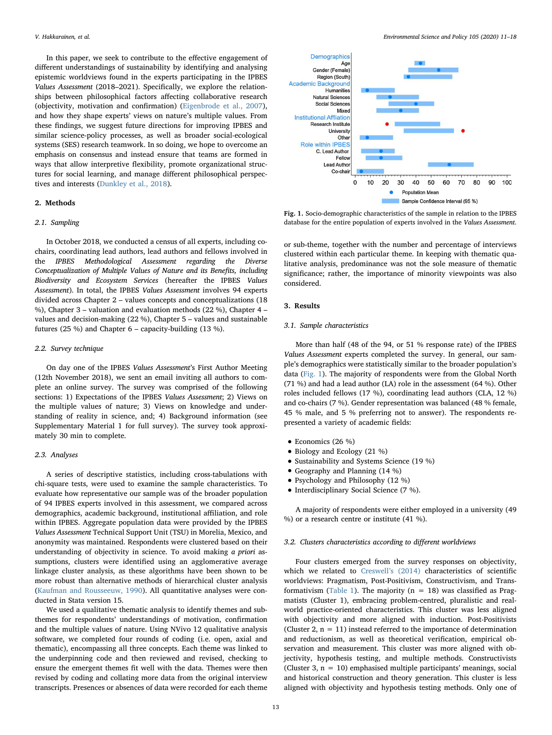In this paper, we seek to contribute to the effective engagement of different understandings of sustainability by identifying and analysing epistemic worldviews found in the experts participating in the IPBES Values Assessment (2018–2021). Specifically, we explore the relationships between philosophical factors affecting collaborative research (objectivity, motivation and confirmation) [\(Eigenbrode et al., 2007](#page-7-17)), and how they shape experts' views on nature's multiple values. From these findings, we suggest future directions for improving IPBES and similar science-policy processes, as well as broader social-ecological systems (SES) research teamwork. In so doing, we hope to overcome an emphasis on consensus and instead ensure that teams are formed in ways that allow interpretive flexibility, promote organizational structures for social learning, and manage different philosophical perspectives and interests ([Dunkley et al., 2018](#page-6-8)).

## 2. Methods

## 2.1. Sampling

In October 2018, we conducted a census of all experts, including cochairs, coordinating lead authors, lead authors and fellows involved in the IPBES Methodological Assessment regarding the Diverse Conceptualization of Multiple Values of Nature and its Benefits, including Biodiversity and Ecosystem Services (hereafter the IPBES Values Assessment). In total, the IPBES Values Assessment involves 94 experts divided across Chapter 2 – values concepts and conceptualizations (18 %), Chapter 3 – valuation and evaluation methods (22 %), Chapter 4 – values and decision-making (22 %), Chapter 5 – values and sustainable futures (25 %) and Chapter 6 – capacity-building (13 %).

### 2.2. Survey technique

On day one of the IPBES Values Assessment's First Author Meeting (12th November 2018), we sent an email inviting all authors to complete an online survey. The survey was comprised of the following sections: 1) Expectations of the IPBES Values Assessment; 2) Views on the multiple values of nature; 3) Views on knowledge and understanding of reality in science, and; 4) Background information (see Supplementary Material 1 for full survey). The survey took approximately 30 min to complete.

#### 2.3. Analyses

A series of descriptive statistics, including cross-tabulations with chi-square tests, were used to examine the sample characteristics. To evaluate how representative our sample was of the broader population of 94 IPBES experts involved in this assessment, we compared across demographics, academic background, institutional affiliation, and role within IPBES. Aggregate population data were provided by the IPBES Values Assessment Technical Support Unit (TSU) in Morelia, Mexico, and anonymity was maintained. Respondents were clustered based on their understanding of objectivity in science. To avoid making a priori assumptions, clusters were identified using an agglomerative average linkage cluster analysis, as these algorithms have been shown to be more robust than alternative methods of hierarchical cluster analysis ([Kaufman and Rousseeuw, 1990\)](#page-7-26). All quantitative analyses were conducted in Stata version 15.

We used a qualitative thematic analysis to identify themes and subthemes for respondents' understandings of motivation, confirmation and the multiple values of nature. Using NVivo 12 qualitative analysis software, we completed four rounds of coding (i.e. open, axial and thematic), encompassing all three concepts. Each theme was linked to the underpinning code and then reviewed and revised, checking to ensure the emergent themes fit well with the data. Themes were then revised by coding and collating more data from the original interview transcripts. Presences or absences of data were recorded for each theme

<span id="page-2-0"></span>

Fig. 1. Socio-demographic characteristics of the sample in relation to the IPBES database for the entire population of experts involved in the Values Assessment.

or sub-theme, together with the number and percentage of interviews clustered within each particular theme. In keeping with thematic qualitative analysis, predominance was not the sole measure of thematic significance; rather, the importance of minority viewpoints was also considered.

## 3. Results

#### 3.1. Sample characteristics

More than half (48 of the 94, or 51 % response rate) of the IPBES Values Assessment experts completed the survey. In general, our sample's demographics were statistically similar to the broader population's data ([Fig. 1\)](#page-2-0). The majority of respondents were from the Global North (71 %) and had a lead author (LA) role in the assessment (64 %). Other roles included fellows (17 %), coordinating lead authors (CLA, 12 %) and co-chairs (7 %). Gender representation was balanced (48 % female, 45 % male, and 5 % preferring not to answer). The respondents represented a variety of academic fields:

- Economics (26 %)
- Biology and Ecology (21 %)
- Sustainability and Systems Science (19 %)
- Geography and Planning (14 %)
- Psychology and Philosophy (12 %)
- Interdisciplinary Social Science (7 %).

A majority of respondents were either employed in a university (49 %) or a research centre or institute (41 %).

#### 3.2. Clusters characteristics according to different worldviews

Four clusters emerged from the survey responses on objectivity, which we related to Creswell'[s \(2014\)](#page-6-6) characteristics of scientific worldviews: Pragmatism, Post-Positivism, Constructivism, and Trans-formativism [\(Table 1](#page-3-0)). The majority ( $n = 18$ ) was classified as Pragmatists (Cluster 1), embracing problem-centred, pluralistic and realworld practice-oriented characteristics. This cluster was less aligned with objectivity and more aligned with induction. Post-Positivists (Cluster 2,  $n = 11$ ) instead referred to the importance of determination and reductionism, as well as theoretical verification, empirical observation and measurement. This cluster was more aligned with objectivity, hypothesis testing, and multiple methods. Constructivists (Cluster 3,  $n = 10$ ) emphasised multiple participants' meanings, social and historical construction and theory generation. This cluster is less aligned with objectivity and hypothesis testing methods. Only one of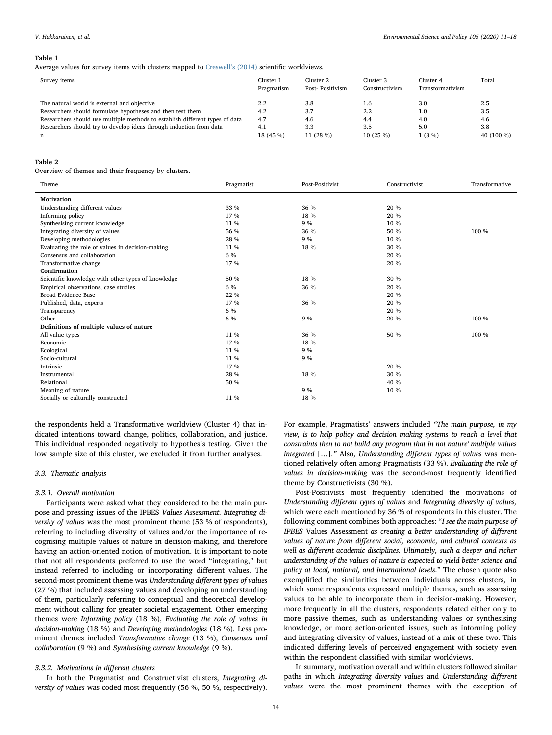#### <span id="page-3-0"></span>Table 1

Average values for survey items with clusters mapped to [Creswell](#page-6-6)'s (2014) scientific worldviews.

| Survey items                                                                 | Cluster 1<br>Pragmatism | Cluster 2<br>Post-Positivism | Cluster 3<br>Constructivism | Cluster 4<br>Transformativism | Total      |
|------------------------------------------------------------------------------|-------------------------|------------------------------|-----------------------------|-------------------------------|------------|
| The natural world is external and objective                                  | 2.2                     | 3.8                          | 1.6                         | 3.0                           | 2.5        |
| Researchers should formulate hypotheses and then test them                   | 4.2                     | 3.7                          | 2.2                         | 1.0                           | 3.5        |
| Researchers should use multiple methods to establish different types of data | 4.7                     | 4.6                          | 4.4                         | 4.0                           | 4.6        |
| Researchers should try to develop ideas through induction from data          | 4.1                     | 3.3                          | 3.5                         | 5.0                           | 3.8        |
| n                                                                            | 18 (45 %)               | 11(28%)                      | 10(25%)                     | 1(3%)                         | 40 (100 %) |

#### <span id="page-3-1"></span>Table 2

Overview of themes and their frequency by clusters.

| Theme                                              | Pragmatist | Post-Positivist | Constructivist | Transformative |
|----------------------------------------------------|------------|-----------------|----------------|----------------|
| <b>Motivation</b>                                  |            |                 |                |                |
| Understanding different values                     | 33 %       | 36 %            | 20 %           |                |
| Informing policy                                   | 17 %       | 18 %            | 20 %           |                |
| Synthesising current knowledge                     | 11 %       | 9%              | 10 %           |                |
| Integrating diversity of values                    | 56 %       | 36 %            | 50 %           | 100 %          |
| Developing methodologies                           | 28 %       | 9%              | 10 %           |                |
| Evaluating the role of values in decision-making   | 11 %       | 18 %            | 30 %           |                |
| Consensus and collaboration                        | 6 %        |                 | 20 %           |                |
| Transformative change                              | 17 %       |                 | 20 %           |                |
| Confirmation                                       |            |                 |                |                |
| Scientific knowledge with other types of knowledge | 50 %       | 18 %            | 30 %           |                |
| Empirical observations, case studies               | 6 %        | 36 %            | 20 %           |                |
| Broad Evidence Base                                | 22 %       |                 | 20 %           |                |
| Published, data, experts                           | 17 %       | 36 %            | 20 %           |                |
| Transparency                                       | 6 %        |                 | 20 %           |                |
| Other                                              | 6 %        | 9 %             | 20 %           | 100 %          |
| Definitions of multiple values of nature           |            |                 |                |                |
| All value types                                    | 11 %       | 36 %            | 50 %           | 100 %          |
| Economic                                           | 17 %       | 18 %            |                |                |
| Ecological                                         | 11 %       | 9%              |                |                |
| Socio-cultural                                     | 11 %       | 9 %             |                |                |
| Intrinsic                                          | 17 %       |                 | 20 %           |                |
| Instrumental                                       | 28 %       | 18 %            | 30 %           |                |
| Relational                                         | 50 %       |                 | 40 %           |                |
| Meaning of nature                                  |            | 9%              | 10 %           |                |
| Socially or culturally constructed                 | 11 %       | 18 %            |                |                |

the respondents held a Transformative worldview (Cluster 4) that indicated intentions toward change, politics, collaboration, and justice. This individual responded negatively to hypothesis testing. Given the low sample size of this cluster, we excluded it from further analyses.

## 3.3. Thematic analysis

#### 3.3.1. Overall motivation

Participants were asked what they considered to be the main purpose and pressing issues of the IPBES Values Assessment. Integrating diversity of values was the most prominent theme (53 % of respondents), referring to including diversity of values and/or the importance of recognising multiple values of nature in decision-making, and therefore having an action-oriented notion of motivation. It is important to note that not all respondents preferred to use the word "integrating," but instead referred to including or incorporating different values. The second-most prominent theme was Understanding different types of values (27 %) that included assessing values and developing an understanding of them, particularly referring to conceptual and theoretical development without calling for greater societal engagement. Other emerging themes were Informing policy (18 %), Evaluating the role of values in decision-making (18 %) and Developing methodologies (18 %). Less prominent themes included Transformative change (13 %), Consensus and collaboration (9 %) and Synthesising current knowledge (9 %).

#### 3.3.2. Motivations in different clusters

In both the Pragmatist and Constructivist clusters, Integrating diversity of values was coded most frequently (56 %, 50 %, respectively).

For example, Pragmatists' answers included "The main purpose, in my view, is to help policy and decision making systems to reach a level that constraints then to not build any program that in not nature' multiple values integrated […]." Also, Understanding different types of values was mentioned relatively often among Pragmatists (33 %). Evaluating the role of values in decision-making was the second-most frequently identified theme by Constructivists (30 %).

Post-Positivists most frequently identified the motivations of Understanding different types of values and Integrating diversity of values, which were each mentioned by 36 % of respondents in this cluster. The following comment combines both approaches: "I see the main purpose of IPBES Values Assessment as creating a better understanding of different values of nature from different social, economic, and cultural contexts as well as different academic disciplines. Ultimately, such a deeper and richer understanding of the values of nature is expected to yield better science and policy at local, national, and international levels." The chosen quote also exemplified the similarities between individuals across clusters, in which some respondents expressed multiple themes, such as assessing values to be able to incorporate them in decision-making. However, more frequently in all the clusters, respondents related either only to more passive themes, such as understanding values or synthesising knowledge, or more action-oriented issues, such as informing policy and integrating diversity of values, instead of a mix of these two. This indicated differing levels of perceived engagement with society even within the respondent classified with similar worldviews.

In summary, motivation overall and within clusters followed similar paths in which Integrating diversity values and Understanding different values were the most prominent themes with the exception of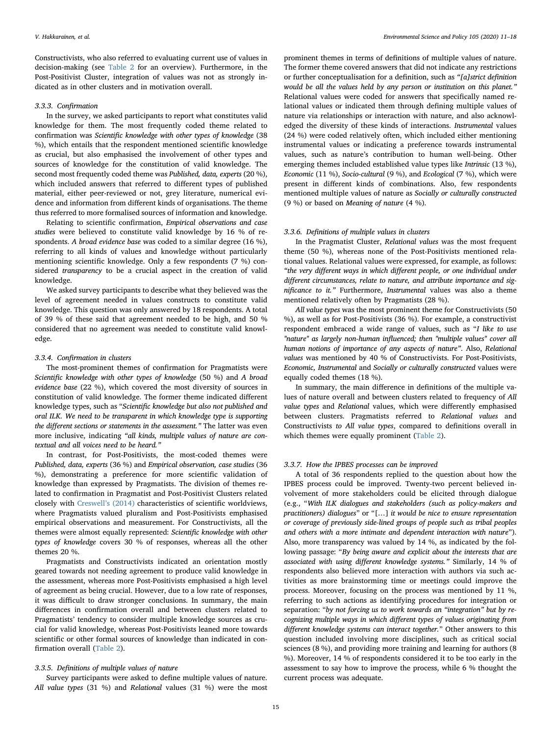Constructivists, who also referred to evaluating current use of values in decision-making (see [Table 2](#page-3-1) for an overview). Furthermore, in the Post-Positivist Cluster, integration of values was not as strongly indicated as in other clusters and in motivation overall.

#### 3.3.3. Confirmation

In the survey, we asked participants to report what constitutes valid knowledge for them. The most frequently coded theme related to confirmation was Scientific knowledge with other types of knowledge (38 %), which entails that the respondent mentioned scientific knowledge as crucial, but also emphasised the involvement of other types and sources of knowledge for the constitution of valid knowledge. The second most frequently coded theme was Published, data, experts (20 %), which included answers that referred to different types of published material, either peer-reviewed or not, grey literature, numerical evidence and information from different kinds of organisations. The theme thus referred to more formalised sources of information and knowledge.

Relating to scientific confirmation, Empirical observations and case studies were believed to constitute valid knowledge by 16 % of respondents. A broad evidence base was coded to a similar degree (16 %), referring to all kinds of values and knowledge without particularly mentioning scientific knowledge. Only a few respondents (7 %) considered transparency to be a crucial aspect in the creation of valid knowledge.

We asked survey participants to describe what they believed was the level of agreement needed in values constructs to constitute valid knowledge. This question was only answered by 18 respondents. A total of 39 % of these said that agreement needed to be high, and 50 % considered that no agreement was needed to constitute valid knowledge.

### 3.3.4. Confirmation in clusters

The most-prominent themes of confirmation for Pragmatists were Scientific knowledge with other types of knowledge (50 %) and A broad evidence base (22 %), which covered the most diversity of sources in constitution of valid knowledge. The former theme indicated different knowledge types, such as "Scientific knowledge but also not published and oral ILK. We need to be transparent in which knowledge type is supporting the different sections or statements in the assessment." The latter was even more inclusive, indicating "all kinds, multiple values of nature are contextual and all voices need to be heard."

In contrast, for Post-Positivists, the most-coded themes were Published, data, experts (36 %) and Empirical observation, case studies (36 %), demonstrating a preference for more scientific validation of knowledge than expressed by Pragmatists. The division of themes related to confirmation in Pragmatist and Post-Positivist Clusters related closely with [Creswell](#page-6-6)'s (2014) characteristics of scientific worldviews, where Pragmatists valued pluralism and Post-Positivists emphasised empirical observations and measurement. For Constructivists, all the themes were almost equally represented: Scientific knowledge with other types of knowledge covers 30 % of responses, whereas all the other themes 20 %.

Pragmatists and Constructivists indicated an orientation mostly geared towards not needing agreement to produce valid knowledge in the assessment, whereas more Post-Positivists emphasised a high level of agreement as being crucial. However, due to a low rate of responses, it was difficult to draw stronger conclusions. In summary, the main differences in confirmation overall and between clusters related to Pragmatists' tendency to consider multiple knowledge sources as crucial for valid knowledge, whereas Post-Positivists leaned more towards scientific or other formal sources of knowledge than indicated in confirmation overall [\(Table 2\)](#page-3-1).

#### 3.3.5. Definitions of multiple values of nature

Survey participants were asked to define multiple values of nature. All value types (31 %) and Relational values (31 %) were the most

prominent themes in terms of definitions of multiple values of nature. The former theme covered answers that did not indicate any restrictions or further conceptualisation for a definition, such as "[a]strict definition would be all the values held by any person or institution on this planet." Relational values were coded for answers that specifically named relational values or indicated them through defining multiple values of nature via relationships or interaction with nature, and also acknowledged the diversity of these kinds of interactions. Instrumental values (24 %) were coded relatively often, which included either mentioning instrumental values or indicating a preference towards instrumental values, such as nature's contribution to human well-being. Other emerging themes included established value types like Intrinsic (13 %), Economic (11 %), Socio-cultural (9 %), and Ecological (7 %), which were present in different kinds of combinations. Also, few respondents mentioned multiple values of nature as Socially or culturally constructed (9 %) or based on Meaning of nature (4 %).

#### 3.3.6. Definitions of multiple values in clusters

In the Pragmatist Cluster, Relational values was the most frequent theme (50 %), whereas none of the Post-Positivists mentioned relational values. Relational values were expressed, for example, as follows: "the very different ways in which different people, or one individual under different circumstances, relate to nature, and attribute importance and significance to it." Furthermore, Instrumental values was also a theme mentioned relatively often by Pragmatists (28 %).

All value types was the most prominent theme for Constructivists (50 %), as well as for Post-Positivists (36 %). For example, a constructivist respondent embraced a wide range of values, such as "I like to use "nature" as largely non-human influenced; then "multiple values" cover all human notions of importance of any aspects of nature". Also, Relational values was mentioned by 40 % of Constructivists. For Post-Positivists, Economic, Instrumental and Socially or culturally constructed values were equally coded themes (18 %).

In summary, the main difference in definitions of the multiple values of nature overall and between clusters related to frequency of All value types and Relational values, which were differently emphasised between clusters. Pragmatists referred to Relational values and Constructivists to All value types, compared to definitions overall in which themes were equally prominent [\(Table 2\)](#page-3-1).

#### 3.3.7. How the IPBES processes can be improved

A total of 36 respondents replied to the question about how the IPBES process could be improved. Twenty-two percent believed involvement of more stakeholders could be elicited through dialogue (e.g., "With ILK dialogues and stakeholders (such as policy-makers and practitioners) dialogues" or "[…] it would be nice to ensure representation or coverage of previously side-lined groups of people such as tribal peoples and others with a more intimate and dependent interaction with nature"). Also, more transparency was valued by 14 %, as indicated by the following passage: "By being aware and explicit about the interests that are associated with using different knowledge systems." Similarly, 14 % of respondents also believed more interaction with authors via such activities as more brainstorming time or meetings could improve the process. Moreover, focusing on the process was mentioned by 11 %, referring to such actions as identifying procedures for integration or separation: "by not forcing us to work towards an "integration" but by recognizing multiple ways in which different types of values originating from different knowledge systems can interact together." Other answers to this question included involving more disciplines, such as critical social sciences (8 %), and providing more training and learning for authors (8 %). Moreover, 14 % of respondents considered it to be too early in the assessment to say how to improve the process, while 6 % thought the current process was adequate.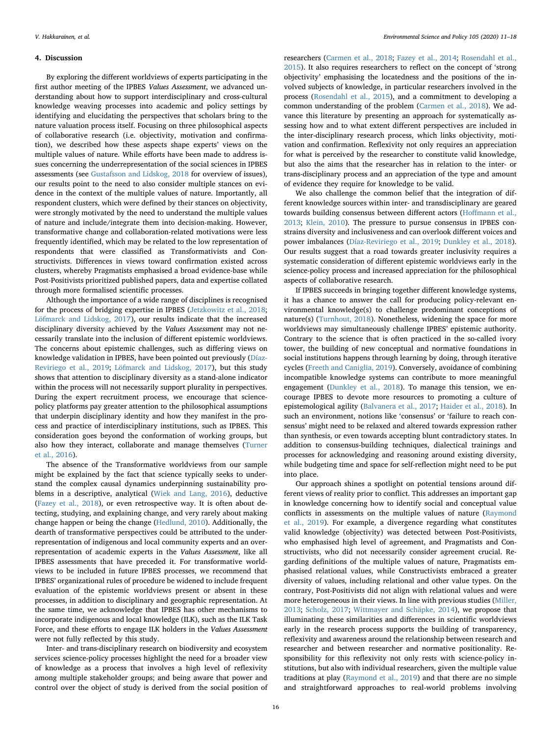#### 4. Discussion

By exploring the different worldviews of experts participating in the first author meeting of the IPBES Values Assessment, we advanced understanding about how to support interdisciplinary and cross-cultural knowledge weaving processes into academic and policy settings by identifying and elucidating the perspectives that scholars bring to the nature valuation process itself. Focusing on three philosophical aspects of collaborative research (i.e. objectivity, motivation and confirmation), we described how these aspects shape experts' views on the multiple values of nature. While efforts have been made to address issues concerning the underrepresentation of the social sciences in IPBES assessments (see [Gustafsson and Lidskog, 2018](#page-7-16) for overview of issues), our results point to the need to also consider multiple stances on evidence in the context of the multiple values of nature. Importantly, all respondent clusters, which were defined by their stances on objectivity, were strongly motivated by the need to understand the multiple values of nature and include/integrate them into decision-making. However, transformative change and collaboration-related motivations were less frequently identified, which may be related to the low representation of respondents that were classified as Transformativists and Constructivists. Differences in views toward confirmation existed across clusters, whereby Pragmatists emphasised a broad evidence-base while Post-Positivists prioritized published papers, data and expertise collated through more formalised scientific processes.

Although the importance of a wide range of disciplines is recognised for the process of bridging expertise in IPBES [\(Jetzkowitz et al., 2018](#page-7-27); [Löfmarck and Lidskog, 2017](#page-7-28)), our results indicate that the increased disciplinary diversity achieved by the Values Assessment may not necessarily translate into the inclusion of different epistemic worldviews. The concerns about epistemic challenges, such as differing views on knowledge validation in IPBES, have been pointed out previously [\(Díaz-](#page-6-9)[Reviriego et al., 2019;](#page-6-9) [Löfmarck and Lidskog, 2017\)](#page-7-28), but this study shows that attention to disciplinary diversity as a stand-alone indicator within the process will not necessarily support plurality in perspectives. During the expert recruitment process, we encourage that sciencepolicy platforms pay greater attention to the philosophical assumptions that underpin disciplinary identity and how they manifest in the process and practice of interdisciplinary institutions, such as IPBES. This consideration goes beyond the conformation of working groups, but also how they interact, collaborate and manage themselves ([Turner](#page-7-24) [et al., 2016](#page-7-24)).

The absence of the Transformative worldviews from our sample might be explained by the fact that science typically seeks to understand the complex causal dynamics underpinning sustainability problems in a descriptive, analytical ([Wiek and Lang, 2016](#page-7-29)), deductive ([Fazey et al., 2018](#page-7-30)), or even retrospective way. It is often about detecting, studying, and explaining change, and very rarely about making change happen or being the change ([Hedlund, 2010\)](#page-7-31). Additionally, the dearth of transformative perspectives could be attributed to the underrepresentation of indigenous and local community experts and an overrepresentation of academic experts in the Values Assessment, like all IPBES assessments that have preceded it. For transformative worldviews to be included in future IPBES processes, we recommend that IPBES' organizational rules of procedure be widened to include frequent evaluation of the epistemic worldviews present or absent in these processes, in addition to disciplinary and geographic representation. At the same time, we acknowledge that IPBES has other mechanisms to incorporate indigenous and local knowledge (ILK), such as the ILK Task Force, and these efforts to engage ILK holders in the Values Assessment were not fully reflected by this study.

Inter- and trans-disciplinary research on biodiversity and ecosystem services science-policy processes highlight the need for a broader view of knowledge as a process that involves a high level of reflexivity among multiple stakeholder groups; and being aware that power and control over the object of study is derived from the social position of researchers [\(Carmen et al., 2018;](#page-6-10) [Fazey et al., 2014;](#page-7-32) [Rosendahl et al.,](#page-7-33) [2015\)](#page-7-33). It also requires researchers to reflect on the concept of 'strong objectivity' emphasising the locatedness and the positions of the involved subjects of knowledge, in particular researchers involved in the process ([Rosendahl et al., 2015\)](#page-7-33), and a commitment to developing a common understanding of the problem ([Carmen et al., 2018](#page-6-10)). We advance this literature by presenting an approach for systematically assessing how and to what extent different perspectives are included in the inter-disciplinary research process, which links objectivity, motivation and confirmation. Reflexivity not only requires an appreciation for what is perceived by the researcher to constitute valid knowledge, but also the aims that the researcher has in relation to the inter- or trans-disciplinary process and an appreciation of the type and amount of evidence they require for knowledge to be valid.

We also challenge the common belief that the integration of different knowledge sources within inter- and transdisciplinary are geared towards building consensus between different actors (Hoff[mann et al.,](#page-7-34) [2013;](#page-7-34) [Klein, 2010](#page-7-35)). The pressure to pursue consensus in IPBES constrains diversity and inclusiveness and can overlook different voices and power imbalances [\(Díaz-Reviriego et al., 2019](#page-6-9); [Dunkley et al., 2018](#page-6-8)). Our results suggest that a road towards greater inclusivity requires a systematic consideration of different epistemic worldviews early in the science-policy process and increased appreciation for the philosophical aspects of collaborative research.

If IPBES succeeds in bringing together different knowledge systems, it has a chance to answer the call for producing policy-relevant environmental knowledge(s) to challenge predominant conceptions of nature(s) [\(Turnhout, 2018](#page-7-36)). Nonetheless, widening the space for more worldviews may simultaneously challenge IPBES' epistemic authority. Contrary to the science that is often practiced in the so-called ivory tower, the building of new conceptual and normative foundations in social institutions happens through learning by doing, through iterative cycles ([Freeth and Caniglia, 2019](#page-7-37)). Conversely, avoidance of combining incompatible knowledge systems can contribute to more meaningful engagement (Dunkley [et al., 2018\)](#page-6-8). To manage this tension, we encourage IPBES to devote more resources to promoting a culture of epistemological agility [\(Balvanera et al., 2017;](#page-6-11) [Haider et al., 2018\)](#page-7-38). In such an environment, notions like 'consensus' or 'failure to reach consensus' might need to be relaxed and altered towards expression rather than synthesis, or even towards accepting blunt contradictory states. In addition to consensus-building techniques, dialectical trainings and processes for acknowledging and reasoning around existing diversity, while budgeting time and space for self-reflection might need to be put into place.

Our approach shines a spotlight on potential tensions around different views of reality prior to conflict. This addresses an important gap in knowledge concerning how to identify social and conceptual value conflicts in assessments on the multiple values of nature [\(Raymond](#page-7-1) [et al., 2019\)](#page-7-1). For example, a divergence regarding what constitutes valid knowledge (objectivity) was detected between Post-Positivists, who emphasised high level of agreement, and Pragmatists and Constructivists, who did not necessarily consider agreement crucial. Regarding definitions of the multiple values of nature, Pragmatists emphasised relational values, while Constructivists embraced a greater diversity of values, including relational and other value types. On the contrary, Post-Positivists did not align with relational values and were more heterogeneous in their views. In line with previous studies [\(Miller,](#page-7-25) [2013;](#page-7-25) [Scholz, 2017](#page-7-22); [Wittmayer and Schäpke, 2014\)](#page-7-23), we propose that illuminating these similarities and differences in scientific worldviews early in the research process supports the building of transparency, reflexivity and awareness around the relationship between research and researcher and between researcher and normative positionality. Responsibility for this reflexivity not only rests with science-policy institutions, but also with individual researchers, given the multiple value traditions at play [\(Raymond et al., 2019](#page-7-1)) and that there are no simple and straightforward approaches to real-world problems involving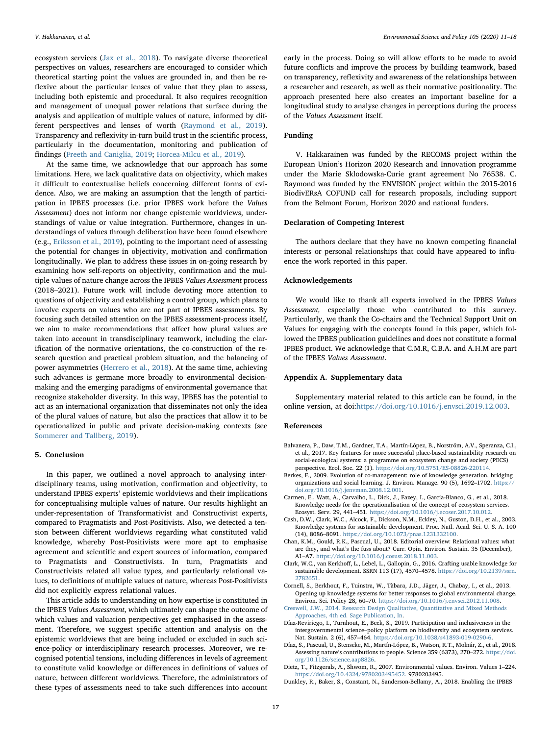ecosystem services ([Jax et al., 2018](#page-7-39)). To navigate diverse theoretical perspectives on values, researchers are encouraged to consider which theoretical starting point the values are grounded in, and then be reflexive about the particular lenses of value that they plan to assess, including both epistemic and procedural. It also requires recognition and management of unequal power relations that surface during the analysis and application of multiple values of nature, informed by different perspectives and lenses of worth [\(Raymond et al., 2019](#page-7-1)). Transparency and reflexivity in-turn build trust in the scientific process, particularly in the documentation, monitoring and publication of findings ([Freeth and Caniglia, 2019](#page-7-37); [Horcea-Milcu et al., 2019](#page-7-40)).

At the same time, we acknowledge that our approach has some limitations. Here, we lack qualitative data on objectivity, which makes it difficult to contextualise beliefs concerning different forms of evidence. Also, we are making an assumption that the length of participation in IPBES processes (i.e. prior IPBES work before the Values Assessment) does not inform nor change epistemic worldviews, understandings of value or value integration. Furthermore, changes in understandings of values through deliberation have been found elsewhere (e.g., [Eriksson et al., 2019](#page-7-14)), pointing to the important need of assessing the potential for changes in objectivity, motivation and confirmation longitudinally. We plan to address these issues in on-going research by examining how self-reports on objectivity, confirmation and the multiple values of nature change across the IPBES Values Assessment process (2018–2021). Future work will include devoting more attention to questions of objectivity and establishing a control group, which plans to involve experts on values who are not part of IPBES assessments. By focusing such detailed attention on the IPBES assessment-process itself, we aim to make recommendations that affect how plural values are taken into account in transdisciplinary teamwork, including the clarification of the normative orientations, the co-construction of the research question and practical problem situation, and the balancing of power asymmetries ([Herrero et al., 2018\)](#page-7-41). At the same time, achieving such advances is germane more broadly to environmental decisionmaking and the emerging paradigms of environmental governance that recognize stakeholder diversity. In this way, IPBES has the potential to act as an international organization that disseminates not only the idea of the plural values of nature, but also the practices that allow it to be operationalized in public and private decision-making contexts (see [Sommerer and Tallberg, 2019](#page-7-42)).

#### 5. Conclusion

In this paper, we outlined a novel approach to analysing interdisciplinary teams, using motivation, confirmation and objectivity, to understand IPBES experts' epistemic worldviews and their implications for conceptualising multiple values of nature. Our results highlight an under-representation of Transformativist and Constructivist experts, compared to Pragmatists and Post-Positivists. Also, we detected a tension between different worldviews regarding what constituted valid knowledge, whereby Post-Positivists were more apt to emphasise agreement and scientific and expert sources of information, compared to Pragmatists and Constructivists. In turn, Pragmatists and Constructivists related all value types, and particularly relational values, to definitions of multiple values of nature, whereas Post-Positivists did not explicitly express relational values.

This article adds to understanding on how expertise is constituted in the IPBES Values Assessment, which ultimately can shape the outcome of which values and valuation perspectives get emphasised in the assessment. Therefore, we suggest specific attention and analysis on the epistemic worldviews that are being included or excluded in such science-policy or interdisciplinary research processes. Moreover, we recognised potential tensions, including differences in levels of agreement to constitute valid knowledge or differences in definitions of values of nature, between different worldviews. Therefore, the administrators of these types of assessments need to take such differences into account

early in the process. Doing so will allow efforts to be made to avoid future conflicts and improve the process by building teamwork, based on transparency, reflexivity and awareness of the relationships between a researcher and research, as well as their normative positionality. The approach presented here also creates an important baseline for a longitudinal study to analyse changes in perceptions during the process of the Values Assessment itself.

## Funding

V. Hakkarainen was funded by the RECOMS project within the European Union's Horizon 2020 Research and Innovation programme under the Marie Sklodowska-Curie grant agreement No 76538. C. Raymond was funded by the ENVISION project within the 2015-2016 BiodivERsA COFUND call for research proposals, including support from the Belmont Forum, Horizon 2020 and national funders.

### Declaration of Competing Interest

The authors declare that they have no known competing financial interests or personal relationships that could have appeared to influence the work reported in this paper.

## Acknowledgements

We would like to thank all experts involved in the IPBES Values Assessment, especially those who contributed to this survey. Particularly, we thank the Co-chairs and the Technical Support Unit on Values for engaging with the concepts found in this paper, which followed the IPBES publication guidelines and does not constitute a formal IPBES product. We acknowledge that C.M.R, C.B.A. and A.H.M are part of the IPBES Values Assessment.

## Appendix A. Supplementary data

Supplementary material related to this article can be found, in the online version, at doi:<https://doi.org/10.1016/j.envsci.2019.12.003>.

## References

- <span id="page-6-11"></span>Balvanera, P., Daw, T.M., Gardner, T.A., Martín-López, B., Norström, A.V., Speranza, C.I., et al., 2017. Key features for more successful place-based sustainability research on social-ecological systems: a programme on ecosystem change and society (PECS) perspective. Ecol. Soc. 22 (1). <https://doi.org/10.5751/ES-08826-220114>.
- <span id="page-6-7"></span>Berkes, F., 2009. Evolution of co-management: role of knowledge generation, bridging organizations and social learning. J. Environ. Manage. 90 (5), 1692–1702. [https://](https://doi.org/10.1016/j.jenvman.2008.12.001) [doi.org/10.1016/j.jenvman.2008.12.001.](https://doi.org/10.1016/j.jenvman.2008.12.001)
- <span id="page-6-10"></span>Carmen, E., Watt, A., Carvalho, L., Dick, J., Fazey, I., Garcia-Blanco, G., et al., 2018. Knowledge needs for the operationalisation of the concept of ecosystem services. Ecosyst. Serv. 29, 441–451. <https://doi.org/10.1016/j.ecoser.2017.10.012>.
- <span id="page-6-3"></span>Cash, D.W., Clark, W.C., Alcock, F., Dickson, N.M., Eckley, N., Guston, D.H., et al., 2003. Knowledge systems for sustainable development. Proc. Natl. Acad. Sci. U. S. A. 100 (14), 8086–8091. [https://doi.org/10.1073/pnas.1231332100.](https://doi.org/10.1073/pnas.1231332100)
- <span id="page-6-0"></span>Chan, K.M., Gould, R.K., Pascual, U., 2018. Editorial overview: Relational values: what are they, and what's the fuss about? Curr. Opin. Environ. Sustain. 35 (December), A1–A7. [https://doi.org/10.1016/j.cosust.2018.11.003.](https://doi.org/10.1016/j.cosust.2018.11.003)
- <span id="page-6-4"></span>Clark, W.C., van Kerkhoff, L., Lebel, L., Gallopin, G., 2016. Crafting usable knowledge for sustainable development. SSRN 113 (17), 4570–4578. [https://doi.org/10.2139/ssrn.](https://doi.org/10.2139/ssrn.2782651) [2782651.](https://doi.org/10.2139/ssrn.2782651)
- <span id="page-6-5"></span>Cornell, S., Berkhout, F., Tuinstra, W., Tàbara, J.D., Jäger, J., Chabay, I., et al., 2013. Opening up knowledge systems for better responses to global environmental change. Environ. Sci. Policy 28, 60–70. <https://doi.org/10.1016/j.envsci.2012.11.008>.
- <span id="page-6-6"></span>[Creswell, J.W., 2014. Research Design Qualitative, Quantitative and Mixed Methods](http://refhub.elsevier.com/S1462-9011(19)30738-5/sbref0040) [Approaches, 4th ed. Sage Publication, In](http://refhub.elsevier.com/S1462-9011(19)30738-5/sbref0040).
- <span id="page-6-9"></span>Díaz-Reviriego, I., Turnhout, E., Beck, S., 2019. Participation and inclusiveness in the intergovernmental science–policy platform on biodiversity and ecosystem services. Nat. Sustain. 2 (6), 457–464. [https://doi.org/10.1038/s41893-019-0290-6.](https://doi.org/10.1038/s41893-019-0290-6)
- <span id="page-6-2"></span>Díaz, S., Pascual, U., Stenseke, M., Martín-López, B., Watson, R.T., Molnár, Z., et al., 2018. Assessing nature's contributions to people. Science 359 (6373), 270–272. [https://doi.](https://doi.org/10.1126/science.aap8826) [org/10.1126/science.aap8826.](https://doi.org/10.1126/science.aap8826)
- <span id="page-6-1"></span>Dietz, T., Fitzgerals, A., Shwom, R., 2007. Environmental values. Environ. Values 1–224. [https://doi.org/10.4324/9780203495452.](https://doi.org/10.4324/9780203495452) 9780203495.
- <span id="page-6-8"></span>Dunkley, R., Baker, S., Constant, N., Sanderson-Bellamy, A., 2018. Enabling the IPBES